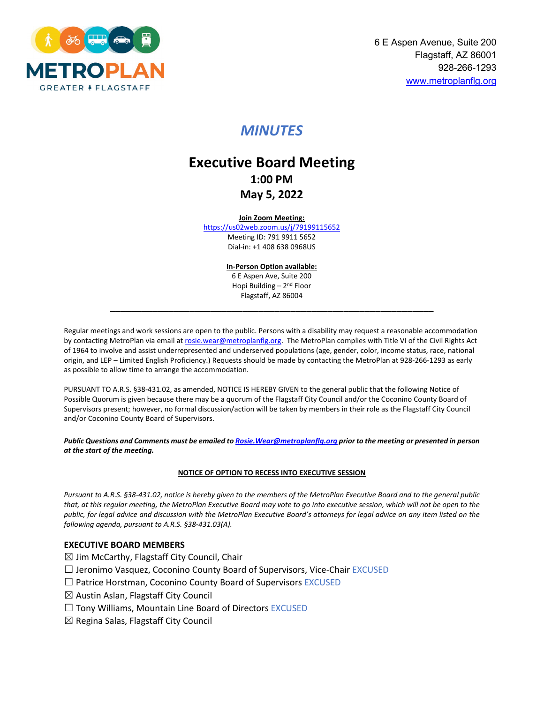

# *MINUTES*

# **Executive Board Meeting 1:00 PM May 5, 2022**

#### **Join Zoom Meeting:**

<https://us02web.zoom.us/j/79199115652> Meeting ID: 791 9911 5652 Dial-in: +1 408 638 0968US

> **In-Person Option available:** 6 E Aspen Ave, Suite 200 Hopi Building – 2nd Floor Flagstaff, AZ 86004

**\_\_\_\_\_\_\_\_\_\_\_\_\_\_\_\_\_\_\_\_\_\_\_\_\_\_\_\_\_\_\_\_\_\_\_\_\_\_\_\_\_\_\_\_\_\_\_\_\_\_\_\_\_\_\_\_\_\_\_\_\_**

Regular meetings and work sessions are open to the public. Persons with a disability may request a reasonable accommodation by contacting MetroPlan via email a[t rosie.wear@metroplanflg.org.](https://metroplanflg.sharepoint.com/sites/metroplanflg/Shared%20Documents/General/FMPO%20Board%20and%20Committee%20Meetings/FMPO%20Executive%20Board/FY%202022/2022%2005%2005/rosie.wear@metroplanflg.org) The MetroPlan complies with Title VI of the Civil Rights Act of 1964 to involve and assist underrepresented and underserved populations (age, gender, color, income status, race, national origin, and LEP – Limited English Proficiency.) Requests should be made by contacting the MetroPlan at 928-266-1293 as early as possible to allow time to arrange the accommodation.

PURSUANT TO A.R.S. §38-431.02, as amended, NOTICE IS HEREBY GIVEN to the general public that the following Notice of Possible Quorum is given because there may be a quorum of the Flagstaff City Council and/or the Coconino County Board of Supervisors present; however, no formal discussion/action will be taken by members in their role as the Flagstaff City Council and/or Coconino County Board of Supervisors.

*Public Questions and Comments must be emailed t[o Rosie.Wear@metroplanflg.org](mailto:Rosie.Wear@metroplanflg.org) prior to the meeting or presented in person at the start of the meeting.* 

#### **NOTICE OF OPTION TO RECESS INTO EXECUTIVE SESSION**

*Pursuant to A.R.S. §38-431.02, notice is hereby given to the members of the MetroPlan Executive Board and to the general public that, at this regular meeting, the MetroPlan Executive Board may vote to go into executive session, which will not be open to the public, for legal advice and discussion with the MetroPlan Executive Board's attorneys for legal advice on any item listed on the following agenda, pursuant to A.R.S. §38-431.03(A).* 

#### **EXECUTIVE BOARD MEMBERS**

- $\boxtimes$  Jim McCarthy, Flagstaff City Council, Chair
- □ Jeronimo Vasquez, Coconino County Board of Supervisors, Vice-Chair EXCUSED
- $\Box$  Patrice Horstman, Coconino County Board of Supervisors EXCUSED
- $\boxtimes$  Austin Aslan, Flagstaff City Council
- $\Box$  Tony Williams, Mountain Line Board of Directors EXCUSED
- $\boxtimes$  Regina Salas, Flagstaff City Council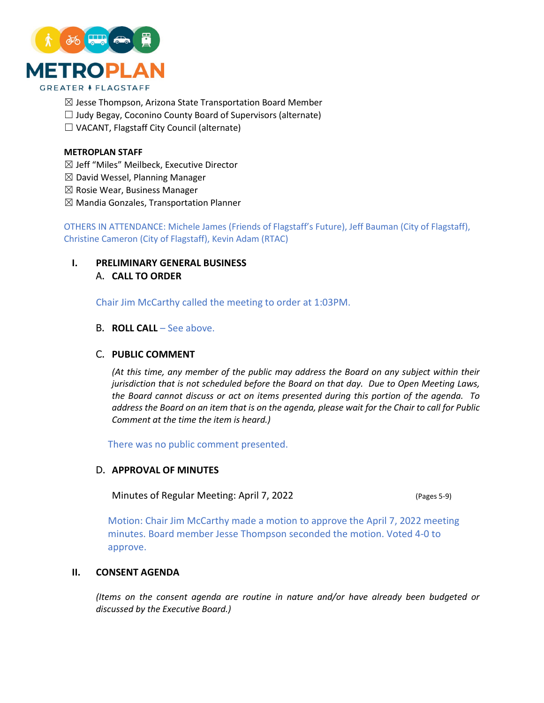

- $\boxtimes$  Jesse Thompson, Arizona State Transportation Board Member
- $\Box$  Judy Begay, Coconino County Board of Supervisors (alternate)
- ☐ VACANT, Flagstaff City Council (alternate)

#### **METROPLAN STAFF**

- ☒ Jeff "Miles" Meilbeck, Executive Director
- $\boxtimes$  David Wessel, Planning Manager
- $\boxtimes$  Rosie Wear, Business Manager
- $\boxtimes$  Mandia Gonzales, Transportation Planner

OTHERS IN ATTENDANCE: Michele James (Friends of Flagstaff's Future), Jeff Bauman (City of Flagstaff), Christine Cameron (City of Flagstaff), Kevin Adam (RTAC)

**I. PRELIMINARY GENERAL BUSINESS** A. **CALL TO ORDER**

Chair Jim McCarthy called the meeting to order at 1:03PM.

B. **ROLL CALL** – See above.

## C. **PUBLIC COMMENT**

*(At this time, any member of the public may address the Board on any subject within their jurisdiction that is not scheduled before the Board on that day. Due to Open Meeting Laws, the Board cannot discuss or act on items presented during this portion of the agenda. To address the Board on an item that is on the agenda, please wait for the Chair to call for Public Comment at the time the item is heard.)*

There was no public comment presented.

### D. **APPROVAL OF MINUTES**

Minutes of Regular Meeting: April 7, 2022 (Pages 5-9)

Motion: Chair Jim McCarthy made a motion to approve the April 7, 2022 meeting minutes. Board member Jesse Thompson seconded the motion. Voted 4-0 to approve.

## **II. CONSENT AGENDA**

*(Items on the consent agenda are routine in nature and/or have already been budgeted or discussed by the Executive Board.)*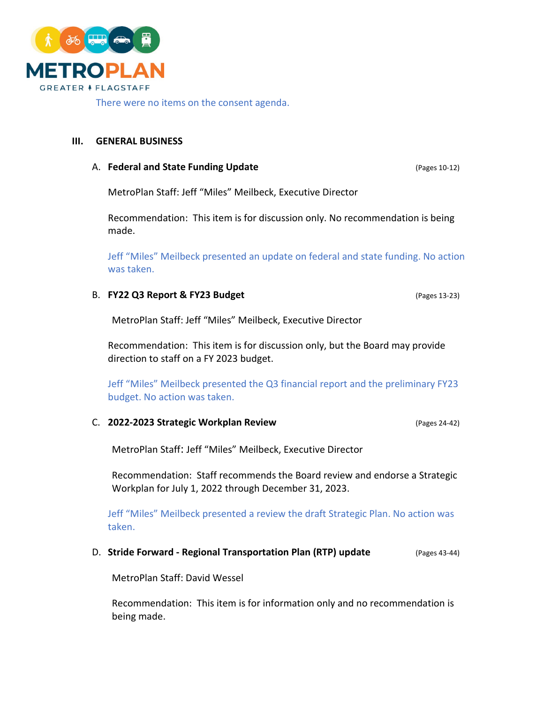

There were no items on the consent agenda.

## **III. GENERAL BUSINESS**

### A. **Federal and State Funding Update A. Federal and State Funding Update** *(Pages 10-12)*

MetroPlan Staff: Jeff "Miles" Meilbeck, Executive Director

Recommendation: This item is for discussion only. No recommendation is being made.

Jeff "Miles" Meilbeck presented an update on federal and state funding. No action was taken.

# B. **FY22 Q3 Report & FY23 Budget** (Pages 13-23)

MetroPlan Staff: Jeff "Miles" Meilbeck, Executive Director

Recommendation: This item is for discussion only, but the Board may provide direction to staff on a FY 2023 budget.

Jeff "Miles" Meilbeck presented the Q3 financial report and the preliminary FY23 budget. No action was taken.

### C. **2022-2023 Strategic Workplan Review** (Pages 24-42)

MetroPlan Staff: Jeff "Miles" Meilbeck, Executive Director

Recommendation: Staff recommends the Board review and endorse a Strategic Workplan for July 1, 2022 through December 31, 2023.

Jeff "Miles" Meilbeck presented a review the draft Strategic Plan. No action was taken.

# D. **Stride Forward - Regional Transportation Plan (RTP) update** (Pages 43-44)

MetroPlan Staff: David Wessel

Recommendation: This item is for information only and no recommendation is being made.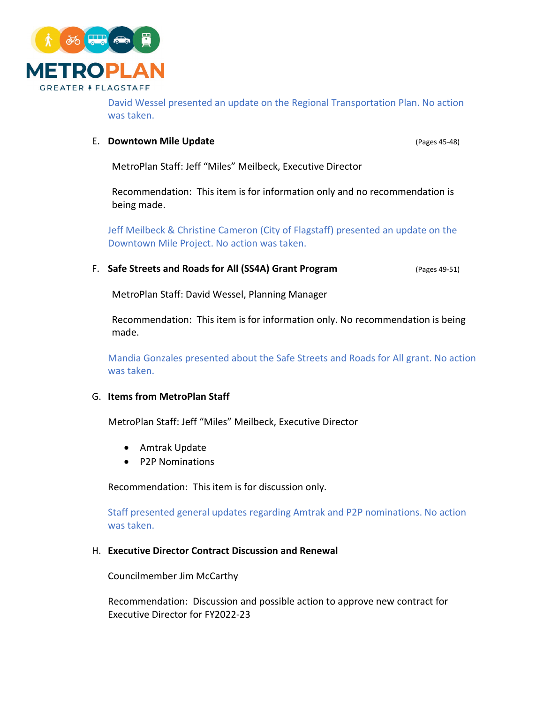

David Wessel presented an update on the Regional Transportation Plan. No action was taken.

# E. **Downtown Mile Update** (Pages 45-48)

MetroPlan Staff: Jeff "Miles" Meilbeck, Executive Director

Recommendation: This item is for information only and no recommendation is being made.

Jeff Meilbeck & Christine Cameron (City of Flagstaff) presented an update on the Downtown Mile Project. No action was taken.

F. **Safe Streets and Roads for All (SS4A) Grant Program** (Pages 49-51)

MetroPlan Staff: David Wessel, Planning Manager

Recommendation: This item is for information only. No recommendation is being made.

Mandia Gonzales presented about the Safe Streets and Roads for All grant. No action was taken.

# G. **Items from MetroPlan Staff**

MetroPlan Staff: Jeff "Miles" Meilbeck, Executive Director

- Amtrak Update
- P2P Nominations

Recommendation: This item is for discussion only.

Staff presented general updates regarding Amtrak and P2P nominations. No action was taken.

### H. **Executive Director Contract Discussion and Renewal**

Councilmember Jim McCarthy

Recommendation: Discussion and possible action to approve new contract for Executive Director for FY2022-23